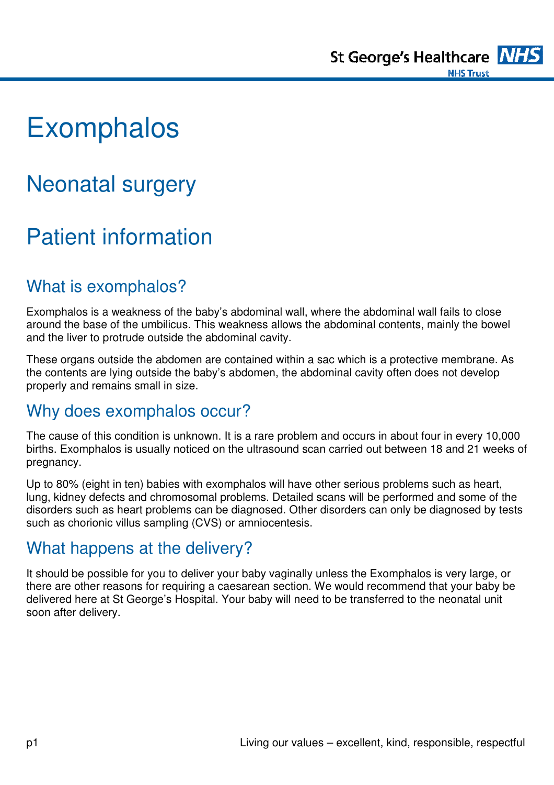

# **Exomphalos**

## Neonatal surgery

## Patient information

#### What is exomphalos?

Exomphalos is a weakness of the baby's abdominal wall, where the abdominal wall fails to close around the base of the umbilicus. This weakness allows the abdominal contents, mainly the bowel and the liver to protrude outside the abdominal cavity.

These organs outside the abdomen are contained within a sac which is a protective membrane. As the contents are lying outside the baby's abdomen, the abdominal cavity often does not develop properly and remains small in size.

#### Why does exomphalos occur?

The cause of this condition is unknown. It is a rare problem and occurs in about four in every 10,000 births. Exomphalos is usually noticed on the ultrasound scan carried out between 18 and 21 weeks of pregnancy.

Up to 80% (eight in ten) babies with exomphalos will have other serious problems such as heart, lung, kidney defects and chromosomal problems. Detailed scans will be performed and some of the disorders such as heart problems can be diagnosed. Other disorders can only be diagnosed by tests such as chorionic villus sampling (CVS) or amniocentesis.

#### What happens at the delivery?

It should be possible for you to deliver your baby vaginally unless the Exomphalos is very large, or there are other reasons for requiring a caesarean section. We would recommend that your baby be delivered here at St George's Hospital. Your baby will need to be transferred to the neonatal unit soon after delivery.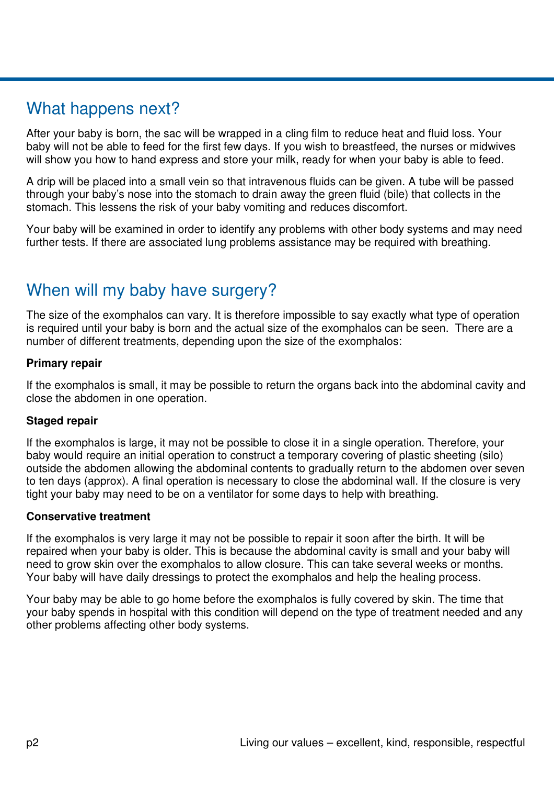#### What happens next?

After your baby is born, the sac will be wrapped in a cling film to reduce heat and fluid loss. Your baby will not be able to feed for the first few days. If you wish to breastfeed, the nurses or midwives will show you how to hand express and store your milk, ready for when your baby is able to feed.

A drip will be placed into a small vein so that intravenous fluids can be given. A tube will be passed through your baby's nose into the stomach to drain away the green fluid (bile) that collects in the stomach. This lessens the risk of your baby vomiting and reduces discomfort.

Your baby will be examined in order to identify any problems with other body systems and may need further tests. If there are associated lung problems assistance may be required with breathing.

### When will my baby have surgery?

The size of the exomphalos can vary. It is therefore impossible to say exactly what type of operation is required until your baby is born and the actual size of the exomphalos can be seen. There are a number of different treatments, depending upon the size of the exomphalos:

#### **Primary repair**

If the exomphalos is small, it may be possible to return the organs back into the abdominal cavity and close the abdomen in one operation.

#### **Staged repair**

If the exomphalos is large, it may not be possible to close it in a single operation. Therefore, your baby would require an initial operation to construct a temporary covering of plastic sheeting (silo) outside the abdomen allowing the abdominal contents to gradually return to the abdomen over seven to ten days (approx). A final operation is necessary to close the abdominal wall. If the closure is very tight your baby may need to be on a ventilator for some days to help with breathing.

#### **Conservative treatment**

If the exomphalos is very large it may not be possible to repair it soon after the birth. It will be repaired when your baby is older. This is because the abdominal cavity is small and your baby will need to grow skin over the exomphalos to allow closure. This can take several weeks or months. Your baby will have daily dressings to protect the exomphalos and help the healing process.

Your baby may be able to go home before the exomphalos is fully covered by skin. The time that your baby spends in hospital with this condition will depend on the type of treatment needed and any other problems affecting other body systems.